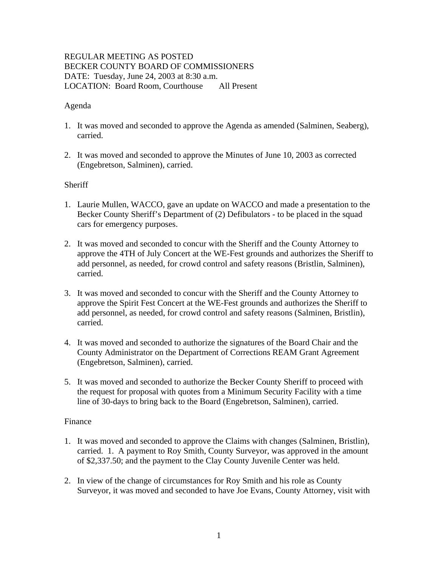# REGULAR MEETING AS POSTED BECKER COUNTY BOARD OF COMMISSIONERS DATE: Tuesday, June 24, 2003 at 8:30 a.m. LOCATION: Board Room, Courthouse All Present

## Agenda

- 1. It was moved and seconded to approve the Agenda as amended (Salminen, Seaberg), carried.
- 2. It was moved and seconded to approve the Minutes of June 10, 2003 as corrected (Engebretson, Salminen), carried.

## **Sheriff**

- 1. Laurie Mullen, WACCO, gave an update on WACCO and made a presentation to the Becker County Sheriff's Department of (2) Defibulators - to be placed in the squad cars for emergency purposes.
- 2. It was moved and seconded to concur with the Sheriff and the County Attorney to approve the 4TH of July Concert at the WE-Fest grounds and authorizes the Sheriff to add personnel, as needed, for crowd control and safety reasons (Bristlin, Salminen), carried.
- 3. It was moved and seconded to concur with the Sheriff and the County Attorney to approve the Spirit Fest Concert at the WE-Fest grounds and authorizes the Sheriff to add personnel, as needed, for crowd control and safety reasons (Salminen, Bristlin), carried.
- 4. It was moved and seconded to authorize the signatures of the Board Chair and the County Administrator on the Department of Corrections REAM Grant Agreement (Engebretson, Salminen), carried.
- 5. It was moved and seconded to authorize the Becker County Sheriff to proceed with the request for proposal with quotes from a Minimum Security Facility with a time line of 30-days to bring back to the Board (Engebretson, Salminen), carried.

### Finance

- 1. It was moved and seconded to approve the Claims with changes (Salminen, Bristlin), carried. 1. A payment to Roy Smith, County Surveyor, was approved in the amount of \$2,337.50; and the payment to the Clay County Juvenile Center was held.
- 2. In view of the change of circumstances for Roy Smith and his role as County Surveyor, it was moved and seconded to have Joe Evans, County Attorney, visit with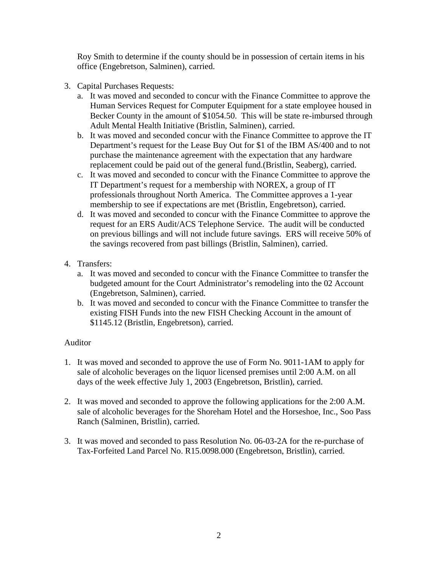Roy Smith to determine if the county should be in possession of certain items in his office (Engebretson, Salminen), carried.

- 3. Capital Purchases Requests:
	- a. It was moved and seconded to concur with the Finance Committee to approve the Human Services Request for Computer Equipment for a state employee housed in Becker County in the amount of \$1054.50. This will be state re-imbursed through Adult Mental Health Initiative (Bristlin, Salminen), carried.
	- b. It was moved and seconded concur with the Finance Committee to approve the IT Department's request for the Lease Buy Out for \$1 of the IBM AS/400 and to not purchase the maintenance agreement with the expectation that any hardware replacement could be paid out of the general fund.(Bristlin, Seaberg), carried.
	- c. It was moved and seconded to concur with the Finance Committee to approve the IT Department's request for a membership with NOREX, a group of IT professionals throughout North America. The Committee approves a 1-year membership to see if expectations are met (Bristlin, Engebretson), carried.
	- d. It was moved and seconded to concur with the Finance Committee to approve the request for an ERS Audit/ACS Telephone Service. The audit will be conducted on previous billings and will not include future savings. ERS will receive 50% of the savings recovered from past billings (Bristlin, Salminen), carried.
- 4. Transfers:
	- a. It was moved and seconded to concur with the Finance Committee to transfer the budgeted amount for the Court Administrator's remodeling into the 02 Account (Engebretson, Salminen), carried.
	- b. It was moved and seconded to concur with the Finance Committee to transfer the existing FISH Funds into the new FISH Checking Account in the amount of \$1145.12 (Bristlin, Engebretson), carried.

# Auditor

- 1. It was moved and seconded to approve the use of Form No. 9011-1AM to apply for sale of alcoholic beverages on the liquor licensed premises until 2:00 A.M. on all days of the week effective July 1, 2003 (Engebretson, Bristlin), carried.
- 2. It was moved and seconded to approve the following applications for the 2:00 A.M. sale of alcoholic beverages for the Shoreham Hotel and the Horseshoe, Inc., Soo Pass Ranch (Salminen, Bristlin), carried.
- 3. It was moved and seconded to pass Resolution No. 06-03-2A for the re-purchase of Tax-Forfeited Land Parcel No. R15.0098.000 (Engebretson, Bristlin), carried.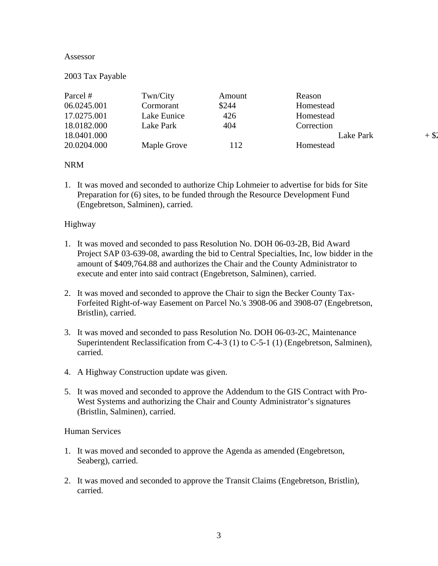#### Assessor

#### 2003 Tax Payable

| Parcel #    | Twn/City    | Amount | Reason     |         |
|-------------|-------------|--------|------------|---------|
| 06.0245.001 | Cormorant   | \$244  | Homestead  |         |
| 17.0275.001 | Lake Eunice | 426    | Homestead  |         |
| 18.0182.000 | Lake Park   | 404    | Correction |         |
| 18.0401.000 |             |        | Lake Park  | $+$ \$2 |
| 20.0204.000 | Maple Grove | 112    | Homestead  |         |

# NRM

1. It was moved and seconded to authorize Chip Lohmeier to advertise for bids for Site Preparation for (6) sites, to be funded through the Resource Development Fund (Engebretson, Salminen), carried.

#### Highway

- 1. It was moved and seconded to pass Resolution No. DOH 06-03-2B, Bid Award Project SAP 03-639-08, awarding the bid to Central Specialties, Inc, low bidder in the amount of \$409,764.88 and authorizes the Chair and the County Administrator to execute and enter into said contract (Engebretson, Salminen), carried.
- 2. It was moved and seconded to approve the Chair to sign the Becker County Tax-Forfeited Right-of-way Easement on Parcel No.'s 3908-06 and 3908-07 (Engebretson, Bristlin), carried.
- 3. It was moved and seconded to pass Resolution No. DOH 06-03-2C, Maintenance Superintendent Reclassification from C-4-3 (1) to C-5-1 (1) (Engebretson, Salminen), carried.
- 4. A Highway Construction update was given.
- 5. It was moved and seconded to approve the Addendum to the GIS Contract with Pro-West Systems and authorizing the Chair and County Administrator's signatures (Bristlin, Salminen), carried.

#### Human Services

- 1. It was moved and seconded to approve the Agenda as amended (Engebretson, Seaberg), carried.
- 2. It was moved and seconded to approve the Transit Claims (Engebretson, Bristlin), carried.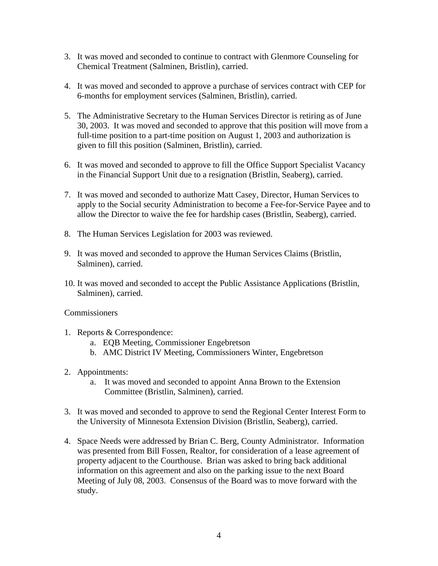- 3. It was moved and seconded to continue to contract with Glenmore Counseling for Chemical Treatment (Salminen, Bristlin), carried.
- 4. It was moved and seconded to approve a purchase of services contract with CEP for 6-months for employment services (Salminen, Bristlin), carried.
- 5. The Administrative Secretary to the Human Services Director is retiring as of June 30, 2003. It was moved and seconded to approve that this position will move from a full-time position to a part-time position on August 1, 2003 and authorization is given to fill this position (Salminen, Bristlin), carried.
- 6. It was moved and seconded to approve to fill the Office Support Specialist Vacancy in the Financial Support Unit due to a resignation (Bristlin, Seaberg), carried.
- 7. It was moved and seconded to authorize Matt Casey, Director, Human Services to apply to the Social security Administration to become a Fee-for-Service Payee and to allow the Director to waive the fee for hardship cases (Bristlin, Seaberg), carried.
- 8. The Human Services Legislation for 2003 was reviewed.
- 9. It was moved and seconded to approve the Human Services Claims (Bristlin, Salminen), carried.
- 10. It was moved and seconded to accept the Public Assistance Applications (Bristlin, Salminen), carried.

### **Commissioners**

- 1. Reports & Correspondence:
	- a. EQB Meeting, Commissioner Engebretson
	- b. AMC District IV Meeting, Commissioners Winter, Engebretson
- 2. Appointments:
	- a. It was moved and seconded to appoint Anna Brown to the Extension Committee (Bristlin, Salminen), carried.
- 3. It was moved and seconded to approve to send the Regional Center Interest Form to the University of Minnesota Extension Division (Bristlin, Seaberg), carried.
- 4. Space Needs were addressed by Brian C. Berg, County Administrator. Information was presented from Bill Fossen, Realtor, for consideration of a lease agreement of property adjacent to the Courthouse. Brian was asked to bring back additional information on this agreement and also on the parking issue to the next Board Meeting of July 08, 2003. Consensus of the Board was to move forward with the study.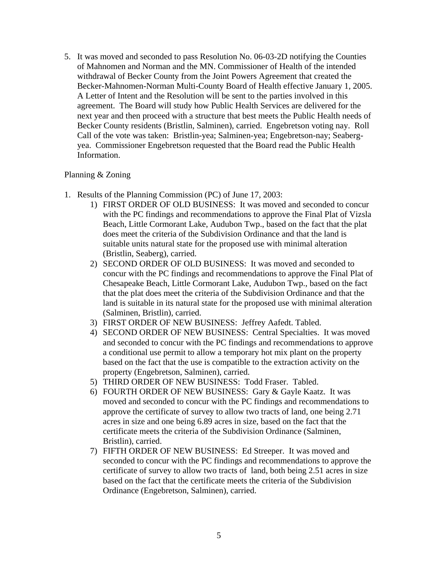5. It was moved and seconded to pass Resolution No. 06-03-2D notifying the Counties of Mahnomen and Norman and the MN. Commissioner of Health of the intended withdrawal of Becker County from the Joint Powers Agreement that created the Becker-Mahnomen-Norman Multi-County Board of Health effective January 1, 2005. A Letter of Intent and the Resolution will be sent to the parties involved in this agreement. The Board will study how Public Health Services are delivered for the next year and then proceed with a structure that best meets the Public Health needs of Becker County residents (Bristlin, Salminen), carried. Engebretson voting nay. Roll Call of the vote was taken: Bristlin-yea; Salminen-yea; Engebretson-nay; Seabergyea. Commissioner Engebretson requested that the Board read the Public Health Information.

## Planning & Zoning

- 1. Results of the Planning Commission (PC) of June 17, 2003:
	- 1) FIRST ORDER OF OLD BUSINESS: It was moved and seconded to concur with the PC findings and recommendations to approve the Final Plat of Vizsla Beach, Little Cormorant Lake, Audubon Twp., based on the fact that the plat does meet the criteria of the Subdivision Ordinance and that the land is suitable units natural state for the proposed use with minimal alteration (Bristlin, Seaberg), carried.
	- 2) SECOND ORDER OF OLD BUSINESS: It was moved and seconded to concur with the PC findings and recommendations to approve the Final Plat of Chesapeake Beach, Little Cormorant Lake, Audubon Twp., based on the fact that the plat does meet the criteria of the Subdivision Ordinance and that the land is suitable in its natural state for the proposed use with minimal alteration (Salminen, Bristlin), carried.
	- 3) FIRST ORDER OF NEW BUSINESS: Jeffrey Aafedt. Tabled.
	- 4) SECOND ORDER OF NEW BUSINESS: Central Specialties. It was moved and seconded to concur with the PC findings and recommendations to approve a conditional use permit to allow a temporary hot mix plant on the property based on the fact that the use is compatible to the extraction activity on the property (Engebretson, Salminen), carried.
	- 5) THIRD ORDER OF NEW BUSINESS: Todd Fraser. Tabled.
	- 6) FOURTH ORDER OF NEW BUSINESS: Gary & Gayle Kaatz. It was moved and seconded to concur with the PC findings and recommendations to approve the certificate of survey to allow two tracts of land, one being 2.71 acres in size and one being 6.89 acres in size, based on the fact that the certificate meets the criteria of the Subdivision Ordinance (Salminen, Bristlin), carried.
	- 7) FIFTH ORDER OF NEW BUSINESS: Ed Streeper. It was moved and seconded to concur with the PC findings and recommendations to approve the certificate of survey to allow two tracts of land, both being 2.51 acres in size based on the fact that the certificate meets the criteria of the Subdivision Ordinance (Engebretson, Salminen), carried.